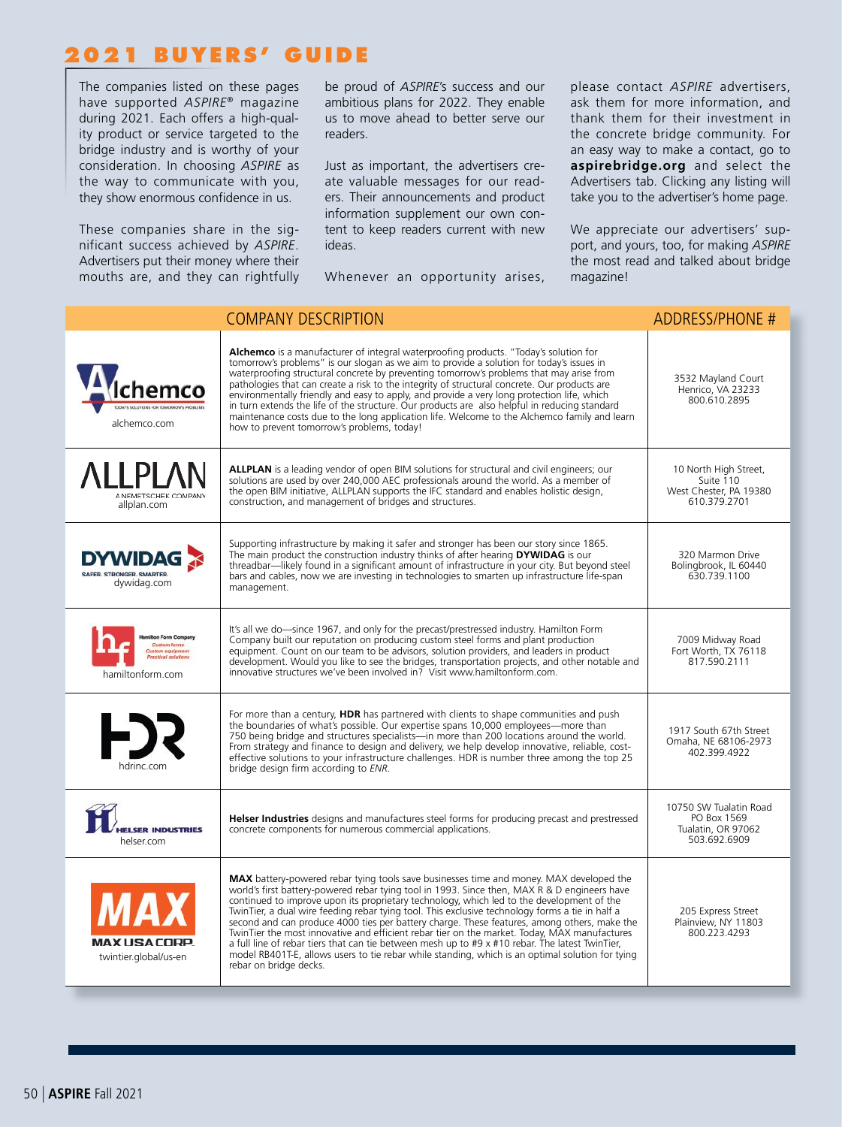## **2021 BUYERS' GUIDE**

The companies listed on these pages have supported *ASPIRE*® magazine during 2021. Each offers a high-quality product or service targeted to the bridge industry and is worthy of your consideration. In choosing *ASPIRE* as the way to communicate with you, they show enormous confidence in us.

These companies share in the significant success achieved by *ASPIRE*. Advertisers put their money where their mouths are, and they can rightfully be proud of *ASPIRE*'s success and our ambitious plans for 2022. They enable us to move ahead to better serve our readers.

Just as important, the advertisers create valuable messages for our readers. Their announcements and product information supplement our own content to keep readers current with new ideas.

Whenever an opportunity arises,

please contact *ASPIRE* advertisers, ask them for more information, and thank them for their investment in the concrete bridge community. For an easy way to make a contact, go to **aspirebridge.org** and select the Advertisers tab. Clicking any listing will take you to the advertiser's home page.

We appreciate our advertisers' support, and yours, too, for making *ASPIRE*  the most read and talked about bridge magazine!

|                                                                   | <b>COMPANY DESCRIPTION</b>                                                                                                                                                                                                                                                                                                                                                                                                                                                                                                                                                                                                                                                                                                                                                                                              | <b>ADDRESS/PHONE #</b>                                                       |
|-------------------------------------------------------------------|-------------------------------------------------------------------------------------------------------------------------------------------------------------------------------------------------------------------------------------------------------------------------------------------------------------------------------------------------------------------------------------------------------------------------------------------------------------------------------------------------------------------------------------------------------------------------------------------------------------------------------------------------------------------------------------------------------------------------------------------------------------------------------------------------------------------------|------------------------------------------------------------------------------|
| ıemo<br><b>E SOLUTIONS FOR TOMORROW'S PROBLEM</b><br>alchemco.com | Alchemco is a manufacturer of integral waterproofing products. "Today's solution for<br>tomorrow's problems" is our slogan as we aim to provide a solution for today's issues in<br>waterproofing structural concrete by preventing tomorrow's problems that may arise from pathologies that can create a risk to the integrity of structural concrete. Our products are<br>environmentally friendly and easy to apply, and provide a very long protection life, which<br>in turn extends the life of the structure. Our products are also helpful in reducing standard<br>maintenance costs due to the long application life. Welcome to the Alchemco family and learn<br>how to prevent tomorrow's problems, today!                                                                                                   | 3532 Mayland Court<br>Henrico, VA 23233<br>800.610.2895                      |
| <b>ALLPLAN</b><br>A NEMETSCHEK COMPANY<br>allplan.com             | <b>ALLPLAN</b> is a leading vendor of open BIM solutions for structural and civil engineers; our<br>solutions are used by over 240,000 AEC professionals around the world. As a member of<br>the open BIM initiative, ALLPLAN supports the IFC standard and enables holistic design,<br>construction, and management of bridges and structures.                                                                                                                                                                                                                                                                                                                                                                                                                                                                         | 10 North High Street,<br>Suite 110<br>West Chester, PA 19380<br>610.379.2701 |
| <b>DYWIDAG</b><br>SAFER, STRONGER, SMARTER,<br>dywidag.com        | Supporting infrastructure by making it safer and stronger has been our story since 1865.<br>The main product the construction industry thinks of after hearing DYWIDAG is our<br>threadbar—likely found in a significant amount of infrastructure in your city. But beyond steel<br>bars and cables, now we are investing in technologies to smarten up infrastructure life-span<br>management.                                                                                                                                                                                                                                                                                                                                                                                                                         | 320 Marmon Drive<br>Bolingbrook, IL 60440<br>630.739.1100                    |
| n Form Compar<br><b>Sustain forms</b><br>hamiltonform.com         | It's all we do-since 1967, and only for the precast/prestressed industry. Hamilton Form<br>Company built our reputation on producing custom steel forms and plant production<br>equipment. Count on our team to be advisors, solution providers, and leaders in product<br>development. Would you like to see the bridges, transportation projects, and other notable and<br>innovative structures we've been involved in? Visit www.hamiltonform.com.                                                                                                                                                                                                                                                                                                                                                                  | 7009 Midway Road<br>Fort Worth, TX 76118<br>817.590.2111                     |
| hdrinc.com                                                        | For more than a century, HDR has partnered with clients to shape communities and push<br>the boundaries of what's possible. Our expertise spans 10,000 employees-more than<br>750 being bridge and structures specialists-in more than 200 locations around the world.<br>From strategy and finance to design and delivery, we help develop innovative, reliable, cost-<br>effective solutions to your infrastructure challenges. HDR is number three among the top 25<br>bridge design firm according to ENR.                                                                                                                                                                                                                                                                                                          | 1917 South 67th Street<br>Omaha, NE 68106-2973<br>402.399.4922               |
| <b>ELSER INDUSTRIES</b><br>helser.com                             | Helser Industries designs and manufactures steel forms for producing precast and prestressed<br>concrete components for numerous commercial applications.                                                                                                                                                                                                                                                                                                                                                                                                                                                                                                                                                                                                                                                               | 10750 SW Tualatin Road<br>PO Box 1569<br>Tualatin, OR 97062<br>503.692.6909  |
| <b>MAXUSACORP.</b><br>twintier.global/us-en                       | MAX battery-powered rebar tying tools save businesses time and money. MAX developed the<br>world's first battery-powered rebar tying tool in 1993. Since then, MAX R & D engineers have<br>continued to improve upon its proprietary technology, which led to the development of the<br>TwinTier, a dual wire feeding rebar tying tool. This exclusive technology forms a tie in half a<br>second and can produce 4000 ties per battery charge. These features, among others, make the<br>TwinTier the most innovative and efficient rebar tier on the market. Today, MAX manufactures<br>a full line of rebar tiers that can tie between mesh up to #9 x #10 rebar. The latest TwinTier,<br>model RB401T-E, allows users to tie rebar while standing, which is an optimal solution for tying<br>rebar on bridge decks. | 205 Express Street<br>Plainview, NY 11803<br>800.223.4293                    |